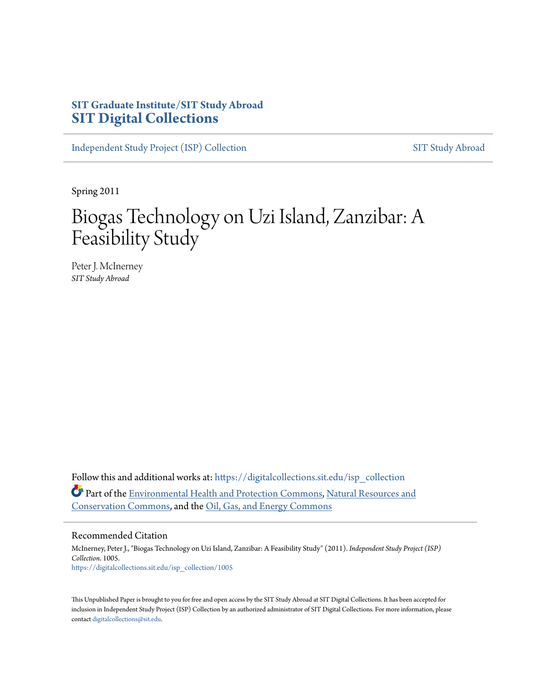# **SIT Graduate Institute/SIT Study Abroad [SIT Digital Collections](https://digitalcollections.sit.edu?utm_source=digitalcollections.sit.edu%2Fisp_collection%2F1005&utm_medium=PDF&utm_campaign=PDFCoverPages)**

[Independent Study Project \(ISP\) Collection](https://digitalcollections.sit.edu/isp_collection?utm_source=digitalcollections.sit.edu%2Fisp_collection%2F1005&utm_medium=PDF&utm_campaign=PDFCoverPages) [SIT Study Abroad](https://digitalcollections.sit.edu/study_abroad?utm_source=digitalcollections.sit.edu%2Fisp_collection%2F1005&utm_medium=PDF&utm_campaign=PDFCoverPages)

Spring 2011

# Biogas Technology on Uzi Island, Zanzibar: A Feasibility Study

Peter J. McInerney *SIT Study Abroad*

Follow this and additional works at: [https://digitalcollections.sit.edu/isp\\_collection](https://digitalcollections.sit.edu/isp_collection?utm_source=digitalcollections.sit.edu%2Fisp_collection%2F1005&utm_medium=PDF&utm_campaign=PDFCoverPages) Part of the [Environmental Health and Protection Commons,](http://network.bepress.com/hgg/discipline/172?utm_source=digitalcollections.sit.edu%2Fisp_collection%2F1005&utm_medium=PDF&utm_campaign=PDFCoverPages) [Natural Resources and](http://network.bepress.com/hgg/discipline/168?utm_source=digitalcollections.sit.edu%2Fisp_collection%2F1005&utm_medium=PDF&utm_campaign=PDFCoverPages) [Conservation Commons](http://network.bepress.com/hgg/discipline/168?utm_source=digitalcollections.sit.edu%2Fisp_collection%2F1005&utm_medium=PDF&utm_campaign=PDFCoverPages), and the [Oil, Gas, and Energy Commons](http://network.bepress.com/hgg/discipline/171?utm_source=digitalcollections.sit.edu%2Fisp_collection%2F1005&utm_medium=PDF&utm_campaign=PDFCoverPages)

#### Recommended Citation

McInerney, Peter J., "Biogas Technology on Uzi Island, Zanzibar: A Feasibility Study" (2011). *Independent Study Project (ISP) Collection*. 1005. [https://digitalcollections.sit.edu/isp\\_collection/1005](https://digitalcollections.sit.edu/isp_collection/1005?utm_source=digitalcollections.sit.edu%2Fisp_collection%2F1005&utm_medium=PDF&utm_campaign=PDFCoverPages)

This Unpublished Paper is brought to you for free and open access by the SIT Study Abroad at SIT Digital Collections. It has been accepted for inclusion in Independent Study Project (ISP) Collection by an authorized administrator of SIT Digital Collections. For more information, please contact [digitalcollections@sit.edu](mailto:digitalcollections@sit.edu).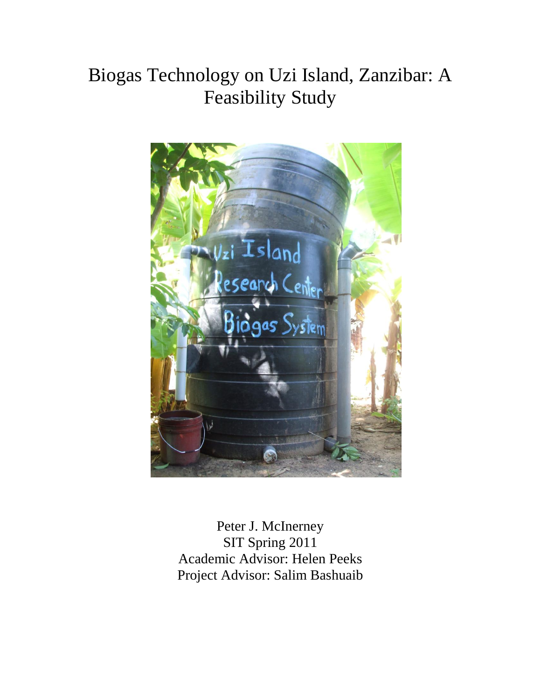# Biogas Technology on Uzi Island, Zanzibar: A Feasibility Study



Peter J. McInerney SIT Spring 2011 Academic Advisor: Helen Peeks Project Advisor: Salim Bashuaib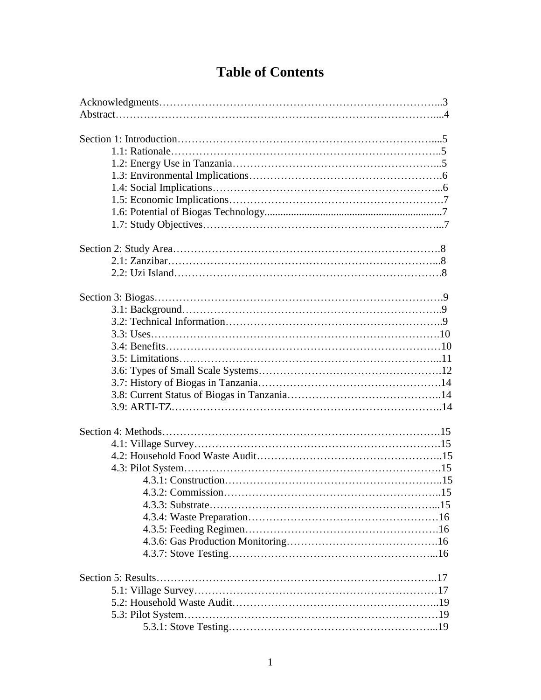# **Table of Contents**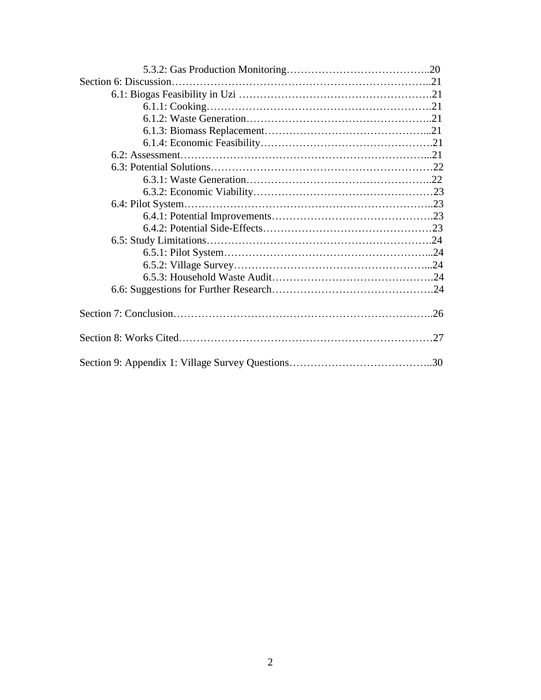| .26 |
|-----|
| 27  |
|     |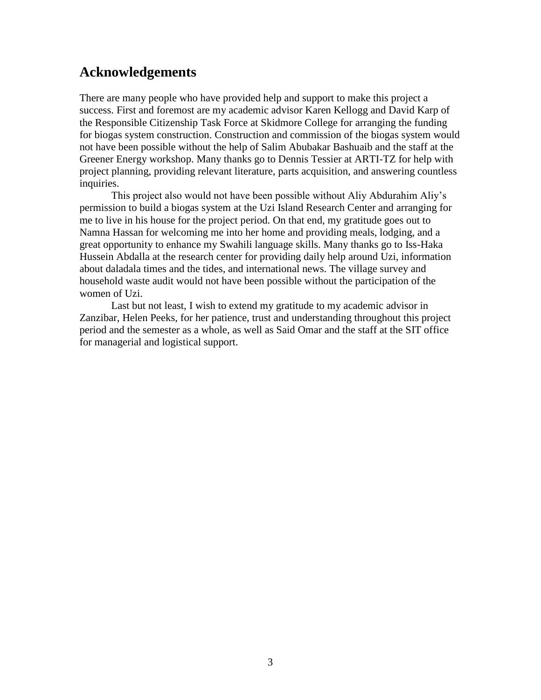# **Acknowledgements**

There are many people who have provided help and support to make this project a success. First and foremost are my academic advisor Karen Kellogg and David Karp of the Responsible Citizenship Task Force at Skidmore College for arranging the funding for biogas system construction. Construction and commission of the biogas system would not have been possible without the help of Salim Abubakar Bashuaib and the staff at the Greener Energy workshop. Many thanks go to Dennis Tessier at ARTI-TZ for help with project planning, providing relevant literature, parts acquisition, and answering countless inquiries.

This project also would not have been possible without Aliy Abdurahim Aliy"s permission to build a biogas system at the Uzi Island Research Center and arranging for me to live in his house for the project period. On that end, my gratitude goes out to Namna Hassan for welcoming me into her home and providing meals, lodging, and a great opportunity to enhance my Swahili language skills. Many thanks go to Iss-Haka Hussein Abdalla at the research center for providing daily help around Uzi, information about daladala times and the tides, and international news. The village survey and household waste audit would not have been possible without the participation of the women of Uzi.

Last but not least, I wish to extend my gratitude to my academic advisor in Zanzibar, Helen Peeks, for her patience, trust and understanding throughout this project period and the semester as a whole, as well as Said Omar and the staff at the SIT office for managerial and logistical support.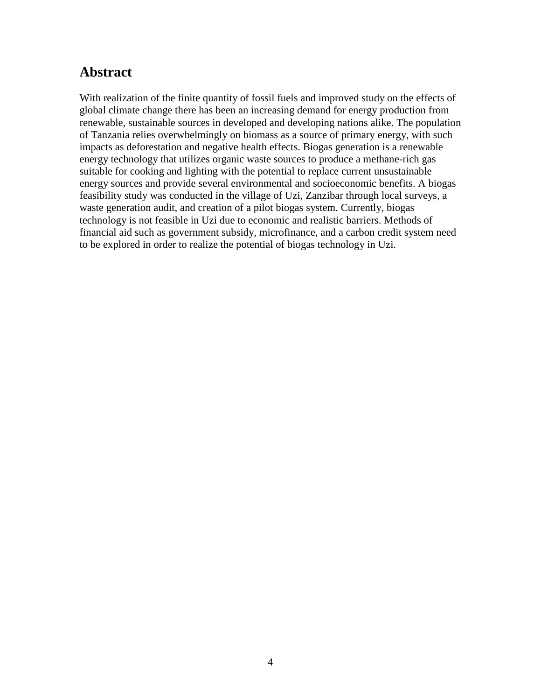# **Abstract**

With realization of the finite quantity of fossil fuels and improved study on the effects of global climate change there has been an increasing demand for energy production from renewable, sustainable sources in developed and developing nations alike. The population of Tanzania relies overwhelmingly on biomass as a source of primary energy, with such impacts as deforestation and negative health effects. Biogas generation is a renewable energy technology that utilizes organic waste sources to produce a methane-rich gas suitable for cooking and lighting with the potential to replace current unsustainable energy sources and provide several environmental and socioeconomic benefits. A biogas feasibility study was conducted in the village of Uzi, Zanzibar through local surveys, a waste generation audit, and creation of a pilot biogas system. Currently, biogas technology is not feasible in Uzi due to economic and realistic barriers. Methods of financial aid such as government subsidy, microfinance, and a carbon credit system need to be explored in order to realize the potential of biogas technology in Uzi.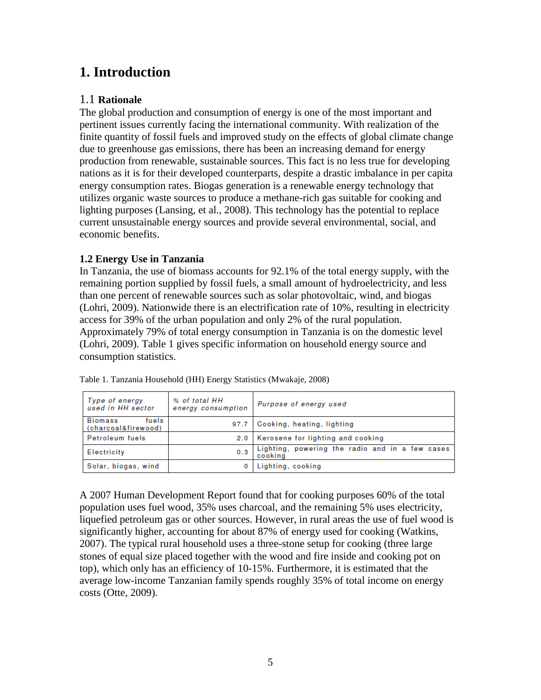# **1. Introduction**

# 1.1 **Rationale**

The global production and consumption of energy is one of the most important and pertinent issues currently facing the international community. With realization of the finite quantity of fossil fuels and improved study on the effects of global climate change due to greenhouse gas emissions, there has been an increasing demand for energy production from renewable, sustainable sources. This fact is no less true for developing nations as it is for their developed counterparts, despite a drastic imbalance in per capita energy consumption rates. Biogas generation is a renewable energy technology that utilizes organic waste sources to produce a methane-rich gas suitable for cooking and lighting purposes (Lansing, et al., 2008). This technology has the potential to replace current unsustainable energy sources and provide several environmental, social, and economic benefits.

## **1.2 Energy Use in Tanzania**

In Tanzania, the use of biomass accounts for 92.1% of the total energy supply, with the remaining portion supplied by fossil fuels, a small amount of hydroelectricity, and less than one percent of renewable sources such as solar photovoltaic, wind, and biogas (Lohri, 2009). Nationwide there is an electrification rate of 10%, resulting in electricity access for 39% of the urban population and only 2% of the rural population. Approximately 79% of total energy consumption in Tanzania is on the domestic level (Lohri, 2009). Table 1 gives specific information on household energy source and consumption statistics.

| Type of energy<br>used in HH sector            | % of total HH<br>energy consumption | Purpose of energy used                                     |  |
|------------------------------------------------|-------------------------------------|------------------------------------------------------------|--|
| <b>Biomass</b><br>fuels<br>(charcoal&firewood) | 97.7                                | Cooking, heating, lighting                                 |  |
| <b>Petroleum</b> fuels                         |                                     | 2.0   Kerosene for lighting and cooking                    |  |
| Electricity                                    | 0.3                                 | Lighting, powering the radio and in a few cases<br>cooking |  |
| Solar, biogas, wind                            |                                     | Lighting, cooking                                          |  |

Table 1. Tanzania Household (HH) Energy Statistics (Mwakaje, 2008)

A 2007 Human Development Report found that for cooking purposes 60% of the total population uses fuel wood, 35% uses charcoal, and the remaining 5% uses electricity, liquefied petroleum gas or other sources. However, in rural areas the use of fuel wood is significantly higher, accounting for about 87% of energy used for cooking (Watkins, 2007). The typical rural household uses a three-stone setup for cooking (three large stones of equal size placed together with the wood and fire inside and cooking pot on top), which only has an efficiency of 10-15%. Furthermore, it is estimated that the average low-income Tanzanian family spends roughly 35% of total income on energy costs (Otte, 2009).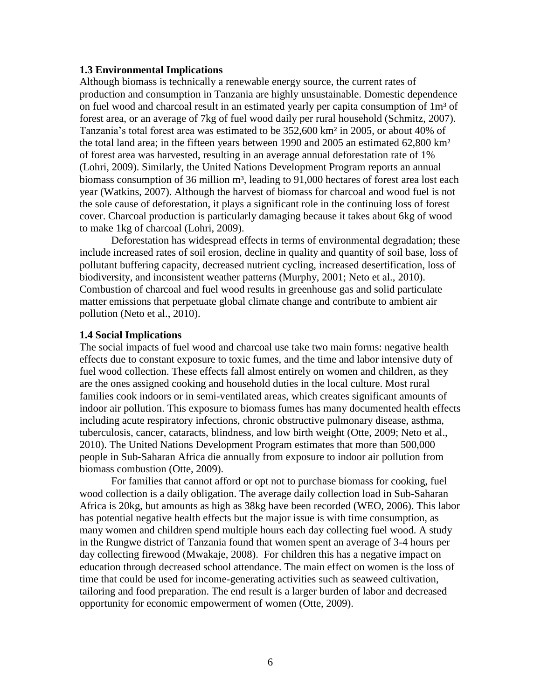#### **1.3 Environmental Implications**

Although biomass is technically a renewable energy source, the current rates of production and consumption in Tanzania are highly unsustainable. Domestic dependence on fuel wood and charcoal result in an estimated yearly per capita consumption of  $1m<sup>3</sup>$  of forest area, or an average of 7kg of fuel wood daily per rural household (Schmitz, 2007). Tanzania's total forest area was estimated to be 352,600 km<sup>2</sup> in 2005, or about 40% of the total land area; in the fifteen years between 1990 and 2005 an estimated 62,800 km² of forest area was harvested, resulting in an average annual deforestation rate of 1% (Lohri, 2009). Similarly, the United Nations Development Program reports an annual biomass consumption of 36 million  $m^3$ , leading to 91,000 hectares of forest area lost each year (Watkins, 2007). Although the harvest of biomass for charcoal and wood fuel is not the sole cause of deforestation, it plays a significant role in the continuing loss of forest cover. Charcoal production is particularly damaging because it takes about 6kg of wood to make 1kg of charcoal (Lohri, 2009).

Deforestation has widespread effects in terms of environmental degradation; these include increased rates of soil erosion, decline in quality and quantity of soil base, loss of pollutant buffering capacity, decreased nutrient cycling, increased desertification, loss of biodiversity, and inconsistent weather patterns (Murphy, 2001; Neto et al., 2010). Combustion of charcoal and fuel wood results in greenhouse gas and solid particulate matter emissions that perpetuate global climate change and contribute to ambient air pollution (Neto et al., 2010).

#### **1.4 Social Implications**

The social impacts of fuel wood and charcoal use take two main forms: negative health effects due to constant exposure to toxic fumes, and the time and labor intensive duty of fuel wood collection. These effects fall almost entirely on women and children, as they are the ones assigned cooking and household duties in the local culture. Most rural families cook indoors or in semi-ventilated areas, which creates significant amounts of indoor air pollution. This exposure to biomass fumes has many documented health effects including acute respiratory infections, chronic obstructive pulmonary disease, asthma, tuberculosis, cancer, cataracts, blindness, and low birth weight (Otte, 2009; Neto et al., 2010). The United Nations Development Program estimates that more than 500,000 people in Sub-Saharan Africa die annually from exposure to indoor air pollution from biomass combustion (Otte, 2009).

For families that cannot afford or opt not to purchase biomass for cooking, fuel wood collection is a daily obligation. The average daily collection load in Sub-Saharan Africa is 20kg, but amounts as high as 38kg have been recorded (WEO, 2006). This labor has potential negative health effects but the major issue is with time consumption, as many women and children spend multiple hours each day collecting fuel wood. A study in the Rungwe district of Tanzania found that women spent an average of 3-4 hours per day collecting firewood (Mwakaje, 2008). For children this has a negative impact on education through decreased school attendance. The main effect on women is the loss of time that could be used for income-generating activities such as seaweed cultivation, tailoring and food preparation. The end result is a larger burden of labor and decreased opportunity for economic empowerment of women (Otte, 2009).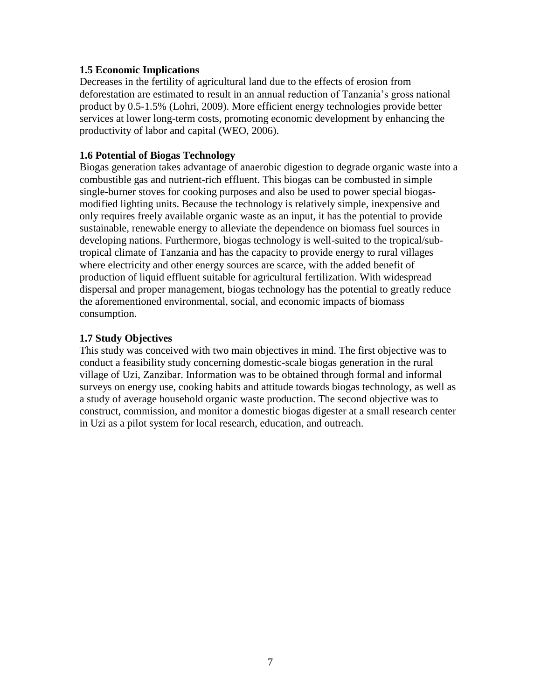#### **1.5 Economic Implications**

Decreases in the fertility of agricultural land due to the effects of erosion from deforestation are estimated to result in an annual reduction of Tanzania"s gross national product by 0.5-1.5% (Lohri, 2009). More efficient energy technologies provide better services at lower long-term costs, promoting economic development by enhancing the productivity of labor and capital (WEO, 2006).

#### **1.6 Potential of Biogas Technology**

Biogas generation takes advantage of anaerobic digestion to degrade organic waste into a combustible gas and nutrient-rich effluent. This biogas can be combusted in simple single-burner stoves for cooking purposes and also be used to power special biogasmodified lighting units. Because the technology is relatively simple, inexpensive and only requires freely available organic waste as an input, it has the potential to provide sustainable, renewable energy to alleviate the dependence on biomass fuel sources in developing nations. Furthermore, biogas technology is well-suited to the tropical/subtropical climate of Tanzania and has the capacity to provide energy to rural villages where electricity and other energy sources are scarce, with the added benefit of production of liquid effluent suitable for agricultural fertilization. With widespread dispersal and proper management, biogas technology has the potential to greatly reduce the aforementioned environmental, social, and economic impacts of biomass consumption.

#### **1.7 Study Objectives**

This study was conceived with two main objectives in mind. The first objective was to conduct a feasibility study concerning domestic-scale biogas generation in the rural village of Uzi, Zanzibar. Information was to be obtained through formal and informal surveys on energy use, cooking habits and attitude towards biogas technology, as well as a study of average household organic waste production. The second objective was to construct, commission, and monitor a domestic biogas digester at a small research center in Uzi as a pilot system for local research, education, and outreach.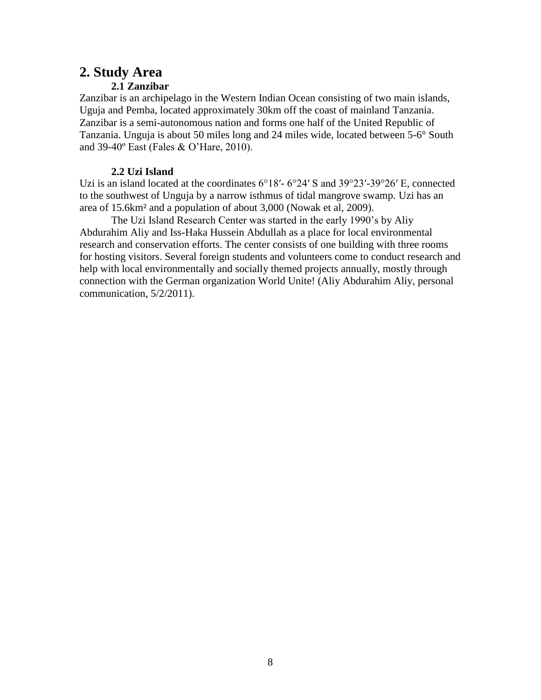# **2. Study Area**

### **2.1 Zanzibar**

Zanzibar is an archipelago in the Western Indian Ocean consisting of two main islands, Uguja and Pemba, located approximately 30km off the coast of mainland Tanzania. Zanzibar is a semi-autonomous nation and forms one half of the United Republic of Tanzania. Unguja is about 50 miles long and 24 miles wide, located between 5-6° South and 39-40º East (Fales & O"Hare, 2010).

### **2.2 Uzi Island**

Uzi is an island located at the coordinates 6°18′- 6°24′ S and 39°23′-39°26′ E, connected to the southwest of Unguja by a narrow isthmus of tidal mangrove swamp. Uzi has an area of 15.6km² and a population of about 3,000 (Nowak et al, 2009).

The Uzi Island Research Center was started in the early 1990"s by Aliy Abdurahim Aliy and Iss-Haka Hussein Abdullah as a place for local environmental research and conservation efforts. The center consists of one building with three rooms for hosting visitors. Several foreign students and volunteers come to conduct research and help with local environmentally and socially themed projects annually, mostly through connection with the German organization World Unite! (Aliy Abdurahim Aliy, personal communication, 5/2/2011).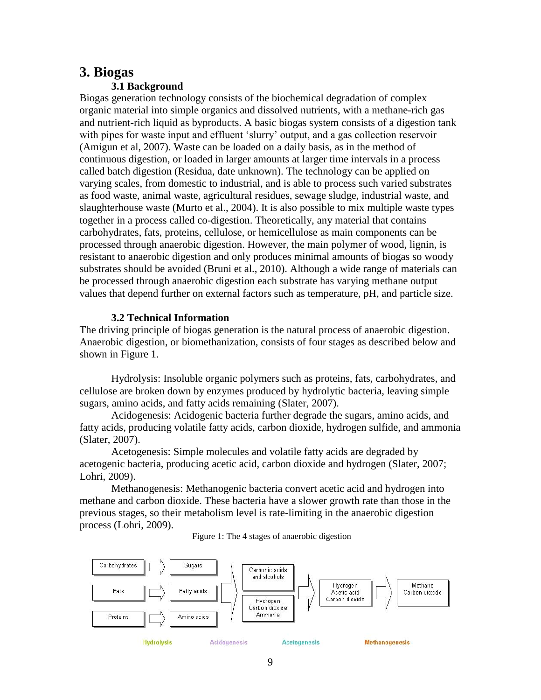# **3. Biogas**

### **3.1 Background**

Biogas generation technology consists of the biochemical degradation of complex organic material into simple organics and dissolved nutrients, with a methane-rich gas and nutrient-rich liquid as byproducts. A basic biogas system consists of a digestion tank with pipes for waste input and effluent 'slurry' output, and a gas collection reservoir (Amigun et al, 2007). Waste can be loaded on a daily basis, as in the method of continuous digestion, or loaded in larger amounts at larger time intervals in a process called batch digestion (Residua, date unknown). The technology can be applied on varying scales, from domestic to industrial, and is able to process such varied substrates as food waste, animal waste, agricultural residues, sewage sludge, industrial waste, and slaughterhouse waste (Murto et al., 2004). It is also possible to mix multiple waste types together in a process called co-digestion. Theoretically, any material that contains carbohydrates, fats, proteins, cellulose, or hemicellulose as main components can be processed through anaerobic digestion. However, the main polymer of wood, lignin, is resistant to anaerobic digestion and only produces minimal amounts of biogas so woody substrates should be avoided (Bruni et al., 2010). Although a wide range of materials can be processed through anaerobic digestion each substrate has varying methane output values that depend further on external factors such as temperature, pH, and particle size.

#### **3.2 Technical Information**

The driving principle of biogas generation is the natural process of anaerobic digestion. Anaerobic digestion, or biomethanization, consists of four stages as described below and shown in Figure 1.

Hydrolysis: Insoluble organic polymers such as proteins, fats, carbohydrates, and cellulose are broken down by enzymes produced by hydrolytic bacteria, leaving simple sugars, amino acids, and fatty acids remaining (Slater, 2007).

Acidogenesis: Acidogenic bacteria further degrade the sugars, amino acids, and fatty acids, producing volatile fatty acids, carbon dioxide, hydrogen sulfide, and ammonia (Slater, 2007).

Acetogenesis: Simple molecules and volatile fatty acids are degraded by acetogenic bacteria, producing acetic acid, carbon dioxide and hydrogen (Slater, 2007; Lohri, 2009).

Methanogenesis: Methanogenic bacteria convert acetic acid and hydrogen into methane and carbon dioxide. These bacteria have a slower growth rate than those in the previous stages, so their metabolism level is rate-limiting in the anaerobic digestion process (Lohri, 2009).



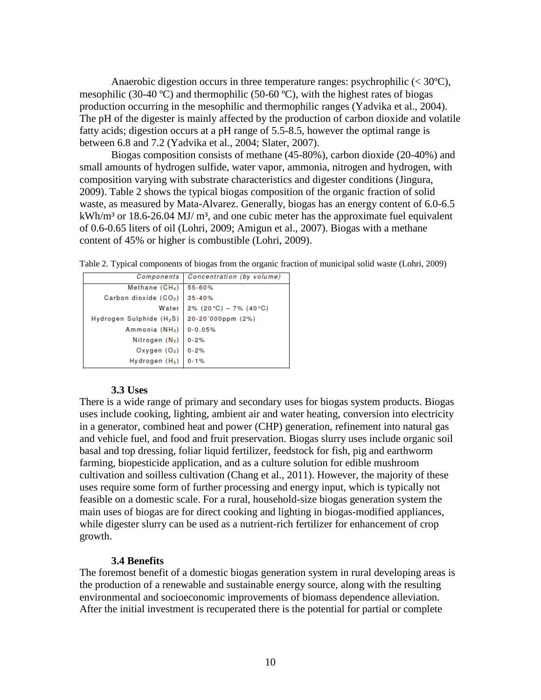Anaerobic digestion occurs in three temperature ranges: psychrophilic (< 30ºC), mesophilic (30-40 °C) and thermophilic (50-60 °C), with the highest rates of biogas production occurring in the mesophilic and thermophilic ranges (Yadvika et al., 2004). The pH of the digester is mainly affected by the production of carbon dioxide and volatile fatty acids; digestion occurs at a pH range of 5.5-8.5, however the optimal range is between 6.8 and 7.2 (Yadvika et al., 2004; Slater, 2007).

Biogas composition consists of methane (45-80%), carbon dioxide (20-40%) and small amounts of hydrogen sulfide, water vapor, ammonia, nitrogen and hydrogen, with composition varying with substrate characteristics and digester conditions (Jingura, 2009). Table 2 shows the typical biogas composition of the organic fraction of solid waste, as measured by Mata-Alvarez. Generally, biogas has an energy content of 6.0-6.5  $kWh/m<sup>3</sup>$  or 18.6-26.04 MJ/ m<sup>3</sup>, and one cubic meter has the approximate fuel equivalent of 0.6-0.65 liters of oil (Lohri, 2009; Amigun et al., 2007). Biogas with a methane content of 45% or higher is combustible (Lohri, 2009).

Table 2. Typical components of biogas from the organic fraction of municipal solid waste (Lohri, 2009)

| Components                           | Concentration (by volume)  |  |
|--------------------------------------|----------------------------|--|
|                                      | 55-60%                     |  |
| Methane $(CH_4)$                     |                            |  |
| Carbon dioxide (CO2)                 | $35 - 40%$                 |  |
| Water                                | 2% $(20 °C) - 7 % (40 °C)$ |  |
| Hydrogen Sulphide (H <sub>2</sub> S) | 20-20'000ppm (2%)          |  |
| Ammonia (NH <sub>3</sub> )           | $0 - 0.05%$                |  |
| Nitrogen (N <sub>2</sub> )           | $0 - 2%$                   |  |
| Oxygen $(O_2)$                       | $0 - 2%$                   |  |
| Hydrogen (H <sub>2</sub> )           | $0 - 1%$                   |  |

#### **3.3 Uses**

There is a wide range of primary and secondary uses for biogas system products. Biogas uses include cooking, lighting, ambient air and water heating, conversion into electricity in a generator, combined heat and power (CHP) generation, refinement into natural gas and vehicle fuel, and food and fruit preservation. Biogas slurry uses include organic soil basal and top dressing, foliar liquid fertilizer, feedstock for fish, pig and earthworm farming, biopesticide application, and as a culture solution for edible mushroom cultivation and soilless cultivation (Chang et al., 2011). However, the majority of these uses require some form of further processing and energy input, which is typically not feasible on a domestic scale. For a rural, household-size biogas generation system the main uses of biogas are for direct cooking and lighting in biogas-modified appliances, while digester slurry can be used as a nutrient-rich fertilizer for enhancement of crop growth.

#### **3.4 Benefits**

The foremost benefit of a domestic biogas generation system in rural developing areas is the production of a renewable and sustainable energy source, along with the resulting environmental and socioeconomic improvements of biomass dependence alleviation. After the initial investment is recuperated there is the potential for partial or complete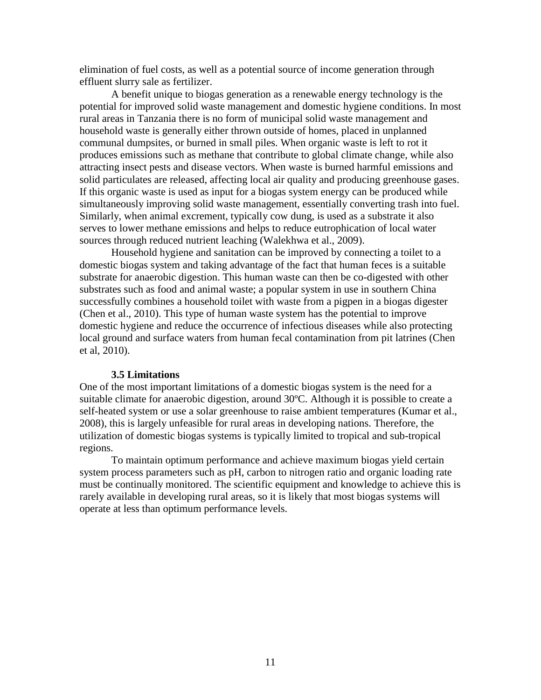elimination of fuel costs, as well as a potential source of income generation through effluent slurry sale as fertilizer.

A benefit unique to biogas generation as a renewable energy technology is the potential for improved solid waste management and domestic hygiene conditions. In most rural areas in Tanzania there is no form of municipal solid waste management and household waste is generally either thrown outside of homes, placed in unplanned communal dumpsites, or burned in small piles. When organic waste is left to rot it produces emissions such as methane that contribute to global climate change, while also attracting insect pests and disease vectors. When waste is burned harmful emissions and solid particulates are released, affecting local air quality and producing greenhouse gases. If this organic waste is used as input for a biogas system energy can be produced while simultaneously improving solid waste management, essentially converting trash into fuel. Similarly, when animal excrement, typically cow dung, is used as a substrate it also serves to lower methane emissions and helps to reduce eutrophication of local water sources through reduced nutrient leaching (Walekhwa et al., 2009).

Household hygiene and sanitation can be improved by connecting a toilet to a domestic biogas system and taking advantage of the fact that human feces is a suitable substrate for anaerobic digestion. This human waste can then be co-digested with other substrates such as food and animal waste; a popular system in use in southern China successfully combines a household toilet with waste from a pigpen in a biogas digester (Chen et al., 2010). This type of human waste system has the potential to improve domestic hygiene and reduce the occurrence of infectious diseases while also protecting local ground and surface waters from human fecal contamination from pit latrines (Chen et al, 2010).

#### **3.5 Limitations**

One of the most important limitations of a domestic biogas system is the need for a suitable climate for anaerobic digestion, around 30ºC. Although it is possible to create a self-heated system or use a solar greenhouse to raise ambient temperatures (Kumar et al., 2008), this is largely unfeasible for rural areas in developing nations. Therefore, the utilization of domestic biogas systems is typically limited to tropical and sub-tropical regions.

To maintain optimum performance and achieve maximum biogas yield certain system process parameters such as pH, carbon to nitrogen ratio and organic loading rate must be continually monitored. The scientific equipment and knowledge to achieve this is rarely available in developing rural areas, so it is likely that most biogas systems will operate at less than optimum performance levels.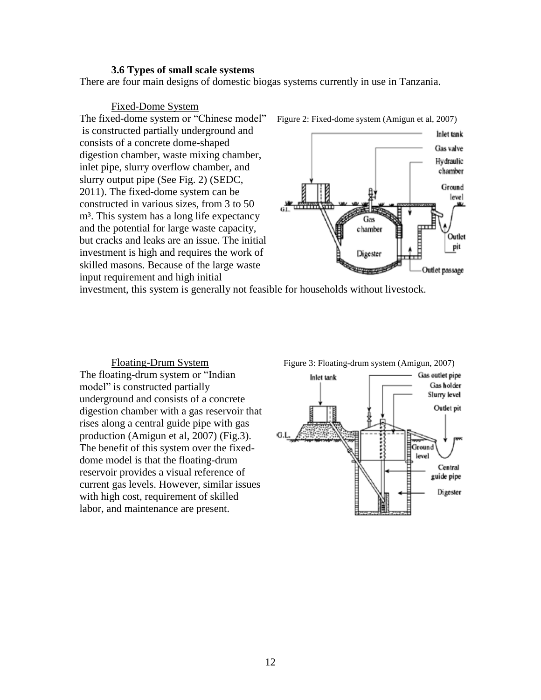#### **3.6 Types of small scale systems**

There are four main designs of domestic biogas systems currently in use in Tanzania.

Fixed-Dome System The fixed-dome system or "Chinese model" Figure 2: Fixed-dome system (Amigun et al, 2007) is constructed partially underground and consists of a concrete dome-shaped digestion chamber, waste mixing chamber, inlet pipe, slurry overflow chamber, and slurry output pipe (See Fig. 2) (SEDC, 2011). The fixed-dome system can be constructed in various sizes, from 3 to 50 m<sup>3</sup>. This system has a long life expectancy and the potential for large waste capacity, but cracks and leaks are an issue. The initial investment is high and requires the work of skilled masons. Because of the large waste input requirement and high initial



investment, this system is generally not feasible for households without livestock.

The floating-drum system or "Indian model" is constructed partially underground and consists of a concrete digestion chamber with a gas reservoir that rises along a central guide pipe with gas production (Amigun et al, 2007) (Fig.3). The benefit of this system over the fixeddome model is that the floating-drum reservoir provides a visual reference of current gas levels. However, similar issues with high cost, requirement of skilled labor, and maintenance are present.



Floating-Drum System Figure 3: Floating-drum system (Amigun, 2007)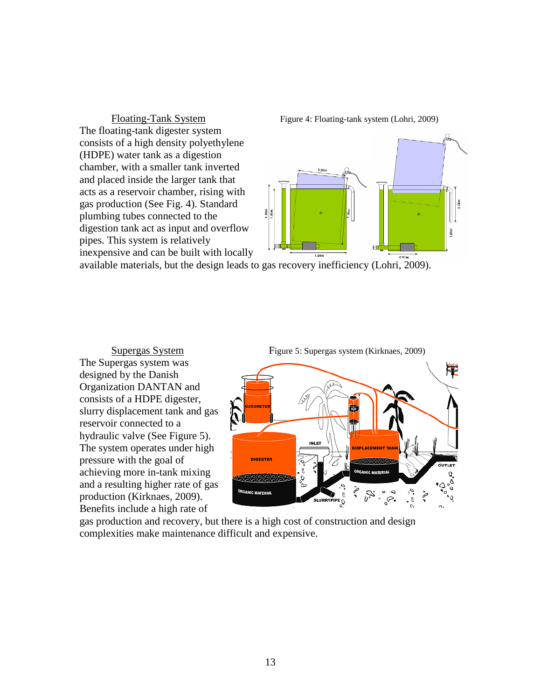The floating-tank digester system consists of a high density polyethylene (HDPE) water tank as a digestion chamber, with a smaller tank inverted and placed inside the larger tank that acts as a reservoir chamber, rising with gas production (See Fig. 4). Standard plumbing tubes connected to the digestion tank act as input and overflow pipes. This system is relatively inexpensive and can be built with locally





available materials, but the design leads to gas recovery inefficiency (Lohri, 2009).

The Supergas system was designed by the Danish Organization DANTAN and consists of a HDPE digester, slurry displacement tank and gas reservoir connected to a hydraulic valve (See Figure 5). The system operates under high pressure with the goal of achieving more in-tank mixing and a resulting higher rate of gas production (Kirknaes, 2009). Benefits include a high rate of



gas production and recovery, but there is a high cost of construction and design complexities make maintenance difficult and expensive.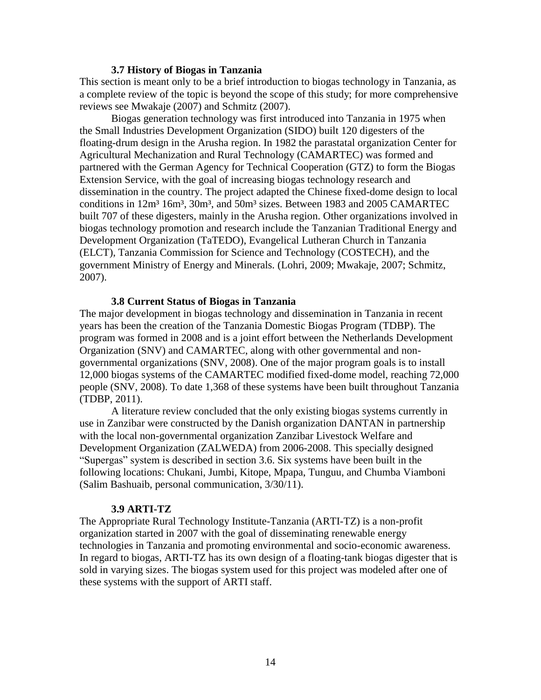#### **3.7 History of Biogas in Tanzania**

This section is meant only to be a brief introduction to biogas technology in Tanzania, as a complete review of the topic is beyond the scope of this study; for more comprehensive reviews see Mwakaje (2007) and Schmitz (2007).

Biogas generation technology was first introduced into Tanzania in 1975 when the Small Industries Development Organization (SIDO) built 120 digesters of the floating-drum design in the Arusha region. In 1982 the parastatal organization Center for Agricultural Mechanization and Rural Technology (CAMARTEC) was formed and partnered with the German Agency for Technical Cooperation (GTZ) to form the Biogas Extension Service, with the goal of increasing biogas technology research and dissemination in the country. The project adapted the Chinese fixed-dome design to local conditions in 12m<sup>3</sup> 16m<sup>3</sup>, 30m<sup>3</sup>, and 50m<sup>3</sup> sizes. Between 1983 and 2005 CAMARTEC built 707 of these digesters, mainly in the Arusha region. Other organizations involved in biogas technology promotion and research include the Tanzanian Traditional Energy and Development Organization (TaTEDO), Evangelical Lutheran Church in Tanzania (ELCT), Tanzania Commission for Science and Technology (COSTECH), and the government Ministry of Energy and Minerals. (Lohri, 2009; Mwakaje, 2007; Schmitz, 2007).

#### **3.8 Current Status of Biogas in Tanzania**

The major development in biogas technology and dissemination in Tanzania in recent years has been the creation of the Tanzania Domestic Biogas Program (TDBP). The program was formed in 2008 and is a joint effort between the Netherlands Development Organization (SNV) and CAMARTEC, along with other governmental and nongovernmental organizations (SNV, 2008). One of the major program goals is to install 12,000 biogas systems of the CAMARTEC modified fixed-dome model, reaching 72,000 people (SNV, 2008). To date 1,368 of these systems have been built throughout Tanzania (TDBP, 2011).

A literature review concluded that the only existing biogas systems currently in use in Zanzibar were constructed by the Danish organization DANTAN in partnership with the local non-governmental organization Zanzibar Livestock Welfare and Development Organization (ZALWEDA) from 2006-2008. This specially designed "Supergas" system is described in section 3.6. Six systems have been built in the following locations: Chukani, Jumbi, Kitope, Mpapa, Tunguu, and Chumba Viamboni (Salim Bashuaib, personal communication, 3/30/11).

#### **3.9 ARTI-TZ**

The Appropriate Rural Technology Institute-Tanzania (ARTI-TZ) is a non-profit organization started in 2007 with the goal of disseminating renewable energy technologies in Tanzania and promoting environmental and socio-economic awareness. In regard to biogas, ARTI-TZ has its own design of a floating-tank biogas digester that is sold in varying sizes. The biogas system used for this project was modeled after one of these systems with the support of ARTI staff.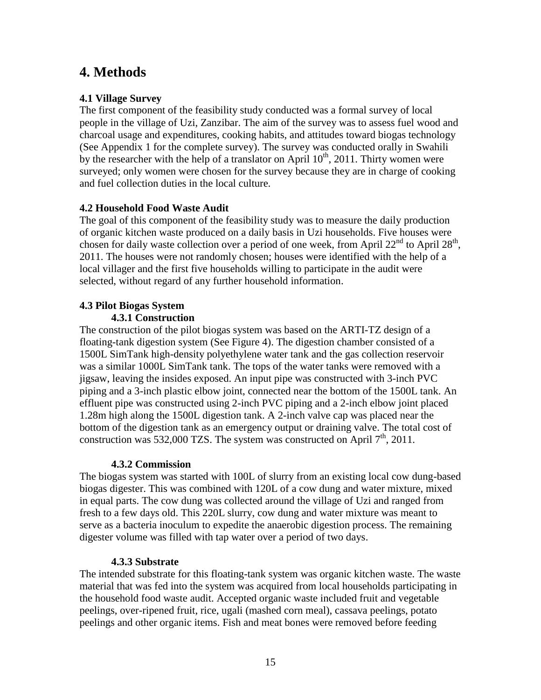# **4. Methods**

## **4.1 Village Survey**

The first component of the feasibility study conducted was a formal survey of local people in the village of Uzi, Zanzibar. The aim of the survey was to assess fuel wood and charcoal usage and expenditures, cooking habits, and attitudes toward biogas technology (See Appendix 1 for the complete survey). The survey was conducted orally in Swahili by the researcher with the help of a translator on April  $10^{th}$ , 2011. Thirty women were surveyed; only women were chosen for the survey because they are in charge of cooking and fuel collection duties in the local culture.

# **4.2 Household Food Waste Audit**

The goal of this component of the feasibility study was to measure the daily production of organic kitchen waste produced on a daily basis in Uzi households. Five houses were chosen for daily waste collection over a period of one week, from April  $22<sup>nd</sup>$  to April  $28<sup>th</sup>$ , 2011. The houses were not randomly chosen; houses were identified with the help of a local villager and the first five households willing to participate in the audit were selected, without regard of any further household information.

#### **4.3 Pilot Biogas System 4.3.1 Construction**

The construction of the pilot biogas system was based on the ARTI-TZ design of a floating-tank digestion system (See Figure 4). The digestion chamber consisted of a 1500L SimTank high-density polyethylene water tank and the gas collection reservoir was a similar 1000L SimTank tank. The tops of the water tanks were removed with a jigsaw, leaving the insides exposed. An input pipe was constructed with 3-inch PVC piping and a 3-inch plastic elbow joint, connected near the bottom of the 1500L tank. An effluent pipe was constructed using 2-inch PVC piping and a 2-inch elbow joint placed 1.28m high along the 1500L digestion tank. A 2-inch valve cap was placed near the bottom of the digestion tank as an emergency output or draining valve. The total cost of construction was 532,000 TZS. The system was constructed on April  $7<sup>th</sup>$ , 2011.

## **4.3.2 Commission**

The biogas system was started with 100L of slurry from an existing local cow dung-based biogas digester. This was combined with 120L of a cow dung and water mixture, mixed in equal parts. The cow dung was collected around the village of Uzi and ranged from fresh to a few days old. This 220L slurry, cow dung and water mixture was meant to serve as a bacteria inoculum to expedite the anaerobic digestion process. The remaining digester volume was filled with tap water over a period of two days.

## **4.3.3 Substrate**

The intended substrate for this floating-tank system was organic kitchen waste. The waste material that was fed into the system was acquired from local households participating in the household food waste audit. Accepted organic waste included fruit and vegetable peelings, over-ripened fruit, rice, ugali (mashed corn meal), cassava peelings, potato peelings and other organic items. Fish and meat bones were removed before feeding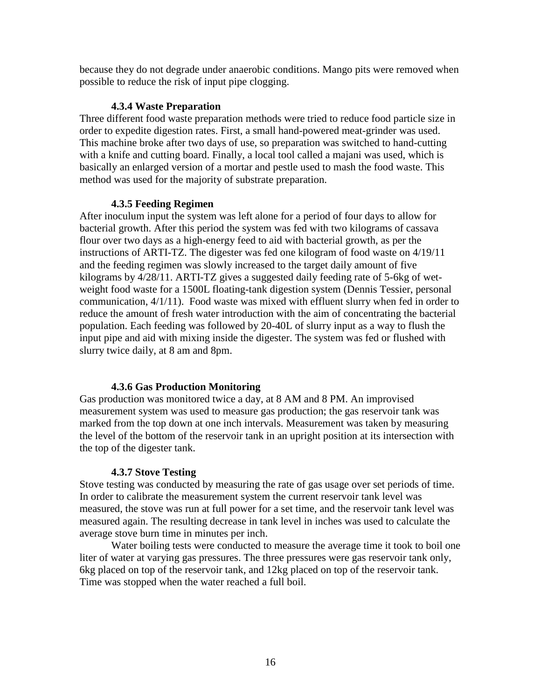because they do not degrade under anaerobic conditions. Mango pits were removed when possible to reduce the risk of input pipe clogging.

### **4.3.4 Waste Preparation**

Three different food waste preparation methods were tried to reduce food particle size in order to expedite digestion rates. First, a small hand-powered meat-grinder was used. This machine broke after two days of use, so preparation was switched to hand-cutting with a knife and cutting board. Finally, a local tool called a majani was used, which is basically an enlarged version of a mortar and pestle used to mash the food waste. This method was used for the majority of substrate preparation.

### **4.3.5 Feeding Regimen**

After inoculum input the system was left alone for a period of four days to allow for bacterial growth. After this period the system was fed with two kilograms of cassava flour over two days as a high-energy feed to aid with bacterial growth, as per the instructions of ARTI-TZ. The digester was fed one kilogram of food waste on 4/19/11 and the feeding regimen was slowly increased to the target daily amount of five kilograms by 4/28/11. ARTI-TZ gives a suggested daily feeding rate of 5-6kg of wetweight food waste for a 1500L floating-tank digestion system (Dennis Tessier, personal communication, 4/1/11). Food waste was mixed with effluent slurry when fed in order to reduce the amount of fresh water introduction with the aim of concentrating the bacterial population. Each feeding was followed by 20-40L of slurry input as a way to flush the input pipe and aid with mixing inside the digester. The system was fed or flushed with slurry twice daily, at 8 am and 8pm.

## **4.3.6 Gas Production Monitoring**

Gas production was monitored twice a day, at 8 AM and 8 PM. An improvised measurement system was used to measure gas production; the gas reservoir tank was marked from the top down at one inch intervals. Measurement was taken by measuring the level of the bottom of the reservoir tank in an upright position at its intersection with the top of the digester tank.

## **4.3.7 Stove Testing**

Stove testing was conducted by measuring the rate of gas usage over set periods of time. In order to calibrate the measurement system the current reservoir tank level was measured, the stove was run at full power for a set time, and the reservoir tank level was measured again. The resulting decrease in tank level in inches was used to calculate the average stove burn time in minutes per inch.

Water boiling tests were conducted to measure the average time it took to boil one liter of water at varying gas pressures. The three pressures were gas reservoir tank only, 6kg placed on top of the reservoir tank, and 12kg placed on top of the reservoir tank. Time was stopped when the water reached a full boil.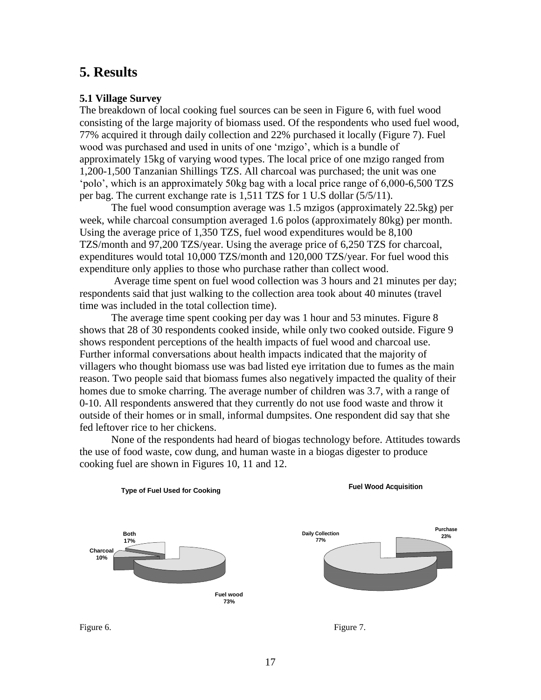# **5. Results**

### **5.1 Village Survey**

The breakdown of local cooking fuel sources can be seen in Figure 6, with fuel wood consisting of the large majority of biomass used. Of the respondents who used fuel wood, 77% acquired it through daily collection and 22% purchased it locally (Figure 7). Fuel wood was purchased and used in units of one "mzigo", which is a bundle of approximately 15kg of varying wood types. The local price of one mzigo ranged from 1,200-1,500 Tanzanian Shillings TZS. All charcoal was purchased; the unit was one "polo", which is an approximately 50kg bag with a local price range of 6,000-6,500 TZS per bag. The current exchange rate is 1,511 TZS for 1 U.S dollar (5/5/11).

The fuel wood consumption average was 1.5 mzigos (approximately 22.5kg) per week, while charcoal consumption averaged 1.6 polos (approximately 80kg) per month. Using the average price of 1,350 TZS, fuel wood expenditures would be 8,100 TZS/month and 97,200 TZS/year. Using the average price of 6,250 TZS for charcoal, expenditures would total 10,000 TZS/month and 120,000 TZS/year. For fuel wood this expenditure only applies to those who purchase rather than collect wood.

Average time spent on fuel wood collection was 3 hours and 21 minutes per day; respondents said that just walking to the collection area took about 40 minutes (travel time was included in the total collection time).

The average time spent cooking per day was 1 hour and 53 minutes. Figure 8 shows that 28 of 30 respondents cooked inside, while only two cooked outside. Figure 9 shows respondent perceptions of the health impacts of fuel wood and charcoal use. Further informal conversations about health impacts indicated that the majority of villagers who thought biomass use was bad listed eye irritation due to fumes as the main reason. Two people said that biomass fumes also negatively impacted the quality of their homes due to smoke charring. The average number of children was 3.7, with a range of 0-10. All respondents answered that they currently do not use food waste and throw it outside of their homes or in small, informal dumpsites. One respondent did say that she fed leftover rice to her chickens.

None of the respondents had heard of biogas technology before. Attitudes towards the use of food waste, cow dung, and human waste in a biogas digester to produce cooking fuel are shown in Figures 10, 11 and 12.



**Type of Fuel Used for Cooking**

**Fuel Wood Acquisition**

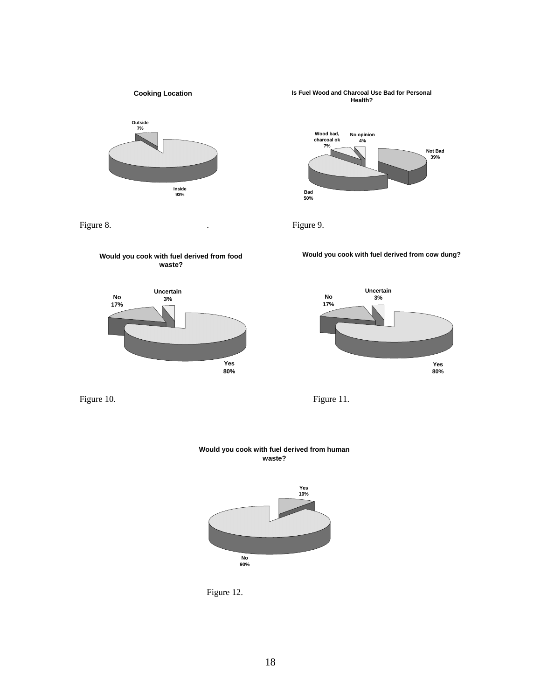

**Cooking Location**





**Wood bad, charcoal ok 7% No opinion 4%**

**Is Fuel Wood and Charcoal Use Bad for Personal Health?**



Figure 8. Figure 9.

**Would you cook with fuel derived from cow dung?**



Figure 10. Figure 11.







Figure 12.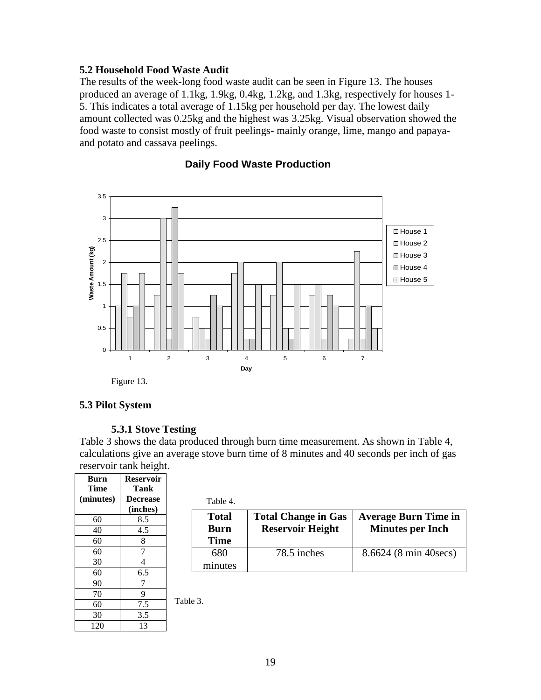### **5.2 Household Food Waste Audit**

The results of the week-long food waste audit can be seen in Figure 13. The houses produced an average of 1.1kg, 1.9kg, 0.4kg, 1.2kg, and 1.3kg, respectively for houses 1- 5. This indicates a total average of 1.15kg per household per day. The lowest daily amount collected was 0.25kg and the highest was 3.25kg. Visual observation showed the food waste to consist mostly of fruit peelings- mainly orange, lime, mango and papayaand potato and cassava peelings.



#### **Daily Food Waste Production**

Figure 13.

### **5.3 Pilot System**

#### **5.3.1 Stove Testing**

Table 3 shows the data produced through burn time measurement. As shown in Table 4, calculations give an average stove burn time of 8 minutes and 40 seconds per inch of gas reservoir tank height.

| <b>Burn</b> | <b>Reservoir</b> |  |
|-------------|------------------|--|
| Time        | Tank             |  |
| (minutes)   | <b>Decrease</b>  |  |
|             | (inches)         |  |
| 60          | 8.5              |  |
| 40          | 4.5              |  |
| 60          | 8                |  |
| 60          | 7                |  |
| 30          | 4                |  |
| 60          | 6.5              |  |
| 90          |                  |  |
| 70          | 9                |  |
| 60          | 7.5              |  |
| 30          | 3.5              |  |
| 120         | 13               |  |

 $T_1$   $1$   $1$   $1$ 

| 1 able 4.                                  |                                                       |                                                        |
|--------------------------------------------|-------------------------------------------------------|--------------------------------------------------------|
| <b>Total</b><br><b>Burn</b><br><b>Time</b> | <b>Total Change in Gas</b><br><b>Reservoir Height</b> | <b>Average Burn Time in</b><br><b>Minutes per Inch</b> |
| 680<br>minutes                             | 78.5 inches                                           | 8.6624 (8 min 40secs)                                  |

Table 3.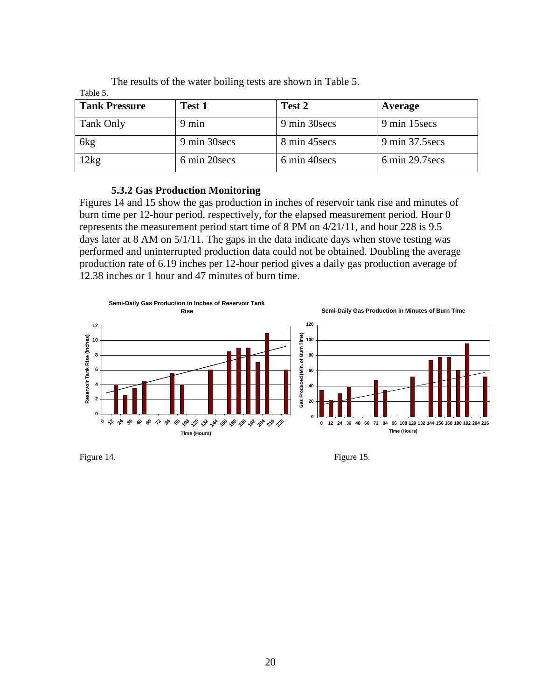| <b>Tank Pressure</b> | Test 1        | Test 2        | Average         |
|----------------------|---------------|---------------|-----------------|
| Tank Only            | 9 min         | 9 min 30 secs | 9 min 15 secs   |
| 6 <sub>kg</sub>      | 9 min 30 secs | 8 min 45 secs | 9 min 37.5 secs |
| 2kg                  | 6 min 20 secs | 6 min 40 secs | 6 min 29.7 secs |

The results of the water boiling tests are shown in Table 5. Table 5.

### **5.3.2 Gas Production Monitoring**

Figures 14 and 15 show the gas production in inches of reservoir tank rise and minutes of burn time per 12-hour period, respectively, for the elapsed measurement period. Hour 0 represents the measurement period start time of 8 PM on 4/21/11, and hour 228 is 9.5 days later at 8 AM on  $5/1/11$ . The gaps in the data indicate days when stove testing was performed and uninterrupted production data could not be obtained. Doubling the average production rate of 6.19 inches per 12-hour period gives a daily gas production average of 12.38 inches or 1 hour and 47 minutes of burn time.



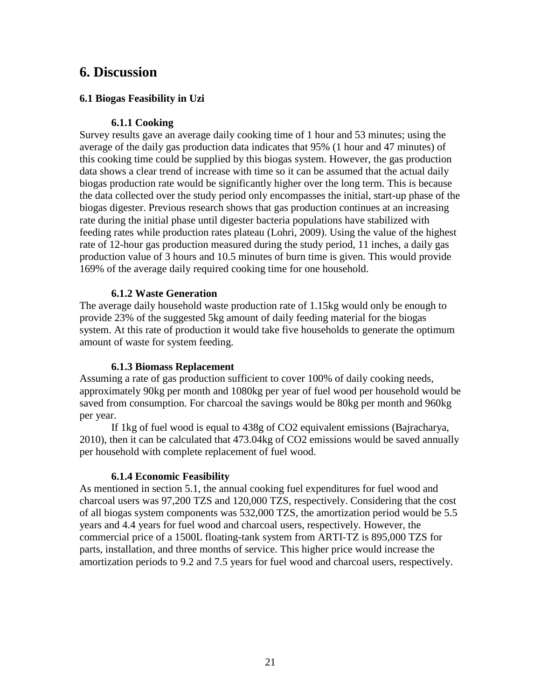# **6. Discussion**

### **6.1 Biogas Feasibility in Uzi**

### **6.1.1 Cooking**

Survey results gave an average daily cooking time of 1 hour and 53 minutes; using the average of the daily gas production data indicates that 95% (1 hour and 47 minutes) of this cooking time could be supplied by this biogas system. However, the gas production data shows a clear trend of increase with time so it can be assumed that the actual daily biogas production rate would be significantly higher over the long term. This is because the data collected over the study period only encompasses the initial, start-up phase of the biogas digester. Previous research shows that gas production continues at an increasing rate during the initial phase until digester bacteria populations have stabilized with feeding rates while production rates plateau (Lohri, 2009). Using the value of the highest rate of 12-hour gas production measured during the study period, 11 inches, a daily gas production value of 3 hours and 10.5 minutes of burn time is given. This would provide 169% of the average daily required cooking time for one household.

#### **6.1.2 Waste Generation**

The average daily household waste production rate of 1.15kg would only be enough to provide 23% of the suggested 5kg amount of daily feeding material for the biogas system. At this rate of production it would take five households to generate the optimum amount of waste for system feeding.

#### **6.1.3 Biomass Replacement**

Assuming a rate of gas production sufficient to cover 100% of daily cooking needs, approximately 90kg per month and 1080kg per year of fuel wood per household would be saved from consumption. For charcoal the savings would be 80kg per month and 960kg per year.

If 1kg of fuel wood is equal to 438g of CO2 equivalent emissions (Bajracharya, 2010), then it can be calculated that 473.04kg of CO2 emissions would be saved annually per household with complete replacement of fuel wood.

#### **6.1.4 Economic Feasibility**

As mentioned in section 5.1, the annual cooking fuel expenditures for fuel wood and charcoal users was 97,200 TZS and 120,000 TZS, respectively. Considering that the cost of all biogas system components was 532,000 TZS, the amortization period would be 5.5 years and 4.4 years for fuel wood and charcoal users, respectively. However, the commercial price of a 1500L floating-tank system from ARTI-TZ is 895,000 TZS for parts, installation, and three months of service. This higher price would increase the amortization periods to 9.2 and 7.5 years for fuel wood and charcoal users, respectively.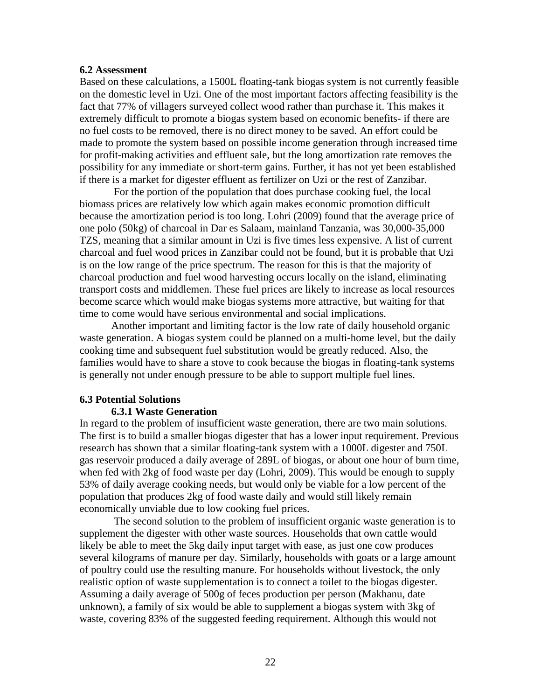#### **6.2 Assessment**

Based on these calculations, a 1500L floating-tank biogas system is not currently feasible on the domestic level in Uzi. One of the most important factors affecting feasibility is the fact that 77% of villagers surveyed collect wood rather than purchase it. This makes it extremely difficult to promote a biogas system based on economic benefits- if there are no fuel costs to be removed, there is no direct money to be saved. An effort could be made to promote the system based on possible income generation through increased time for profit-making activities and effluent sale, but the long amortization rate removes the possibility for any immediate or short-term gains. Further, it has not yet been established if there is a market for digester effluent as fertilizer on Uzi or the rest of Zanzibar.

For the portion of the population that does purchase cooking fuel, the local biomass prices are relatively low which again makes economic promotion difficult because the amortization period is too long. Lohri (2009) found that the average price of one polo (50kg) of charcoal in Dar es Salaam, mainland Tanzania, was 30,000-35,000 TZS, meaning that a similar amount in Uzi is five times less expensive. A list of current charcoal and fuel wood prices in Zanzibar could not be found, but it is probable that Uzi is on the low range of the price spectrum. The reason for this is that the majority of charcoal production and fuel wood harvesting occurs locally on the island, eliminating transport costs and middlemen. These fuel prices are likely to increase as local resources become scarce which would make biogas systems more attractive, but waiting for that time to come would have serious environmental and social implications.

Another important and limiting factor is the low rate of daily household organic waste generation. A biogas system could be planned on a multi-home level, but the daily cooking time and subsequent fuel substitution would be greatly reduced. Also, the families would have to share a stove to cook because the biogas in floating-tank systems is generally not under enough pressure to be able to support multiple fuel lines.

#### **6.3 Potential Solutions**

#### **6.3.1 Waste Generation**

In regard to the problem of insufficient waste generation, there are two main solutions. The first is to build a smaller biogas digester that has a lower input requirement. Previous research has shown that a similar floating-tank system with a 1000L digester and 750L gas reservoir produced a daily average of 289L of biogas, or about one hour of burn time, when fed with 2kg of food waste per day (Lohri, 2009). This would be enough to supply 53% of daily average cooking needs, but would only be viable for a low percent of the population that produces 2kg of food waste daily and would still likely remain economically unviable due to low cooking fuel prices.

The second solution to the problem of insufficient organic waste generation is to supplement the digester with other waste sources. Households that own cattle would likely be able to meet the 5kg daily input target with ease, as just one cow produces several kilograms of manure per day. Similarly, households with goats or a large amount of poultry could use the resulting manure. For households without livestock, the only realistic option of waste supplementation is to connect a toilet to the biogas digester. Assuming a daily average of 500g of feces production per person (Makhanu, date unknown), a family of six would be able to supplement a biogas system with 3kg of waste, covering 83% of the suggested feeding requirement. Although this would not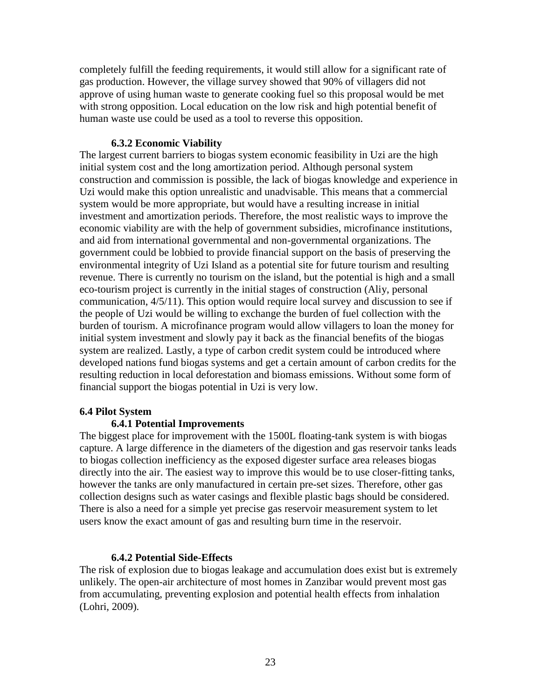completely fulfill the feeding requirements, it would still allow for a significant rate of gas production. However, the village survey showed that 90% of villagers did not approve of using human waste to generate cooking fuel so this proposal would be met with strong opposition. Local education on the low risk and high potential benefit of human waste use could be used as a tool to reverse this opposition.

#### **6.3.2 Economic Viability**

The largest current barriers to biogas system economic feasibility in Uzi are the high initial system cost and the long amortization period. Although personal system construction and commission is possible, the lack of biogas knowledge and experience in Uzi would make this option unrealistic and unadvisable. This means that a commercial system would be more appropriate, but would have a resulting increase in initial investment and amortization periods. Therefore, the most realistic ways to improve the economic viability are with the help of government subsidies, microfinance institutions, and aid from international governmental and non-governmental organizations. The government could be lobbied to provide financial support on the basis of preserving the environmental integrity of Uzi Island as a potential site for future tourism and resulting revenue. There is currently no tourism on the island, but the potential is high and a small eco-tourism project is currently in the initial stages of construction (Aliy, personal communication, 4/5/11). This option would require local survey and discussion to see if the people of Uzi would be willing to exchange the burden of fuel collection with the burden of tourism. A microfinance program would allow villagers to loan the money for initial system investment and slowly pay it back as the financial benefits of the biogas system are realized. Lastly, a type of carbon credit system could be introduced where developed nations fund biogas systems and get a certain amount of carbon credits for the resulting reduction in local deforestation and biomass emissions. Without some form of financial support the biogas potential in Uzi is very low.

#### **6.4 Pilot System**

#### **6.4.1 Potential Improvements**

The biggest place for improvement with the 1500L floating-tank system is with biogas capture. A large difference in the diameters of the digestion and gas reservoir tanks leads to biogas collection inefficiency as the exposed digester surface area releases biogas directly into the air. The easiest way to improve this would be to use closer-fitting tanks, however the tanks are only manufactured in certain pre-set sizes. Therefore, other gas collection designs such as water casings and flexible plastic bags should be considered. There is also a need for a simple yet precise gas reservoir measurement system to let users know the exact amount of gas and resulting burn time in the reservoir.

#### **6.4.2 Potential Side-Effects**

The risk of explosion due to biogas leakage and accumulation does exist but is extremely unlikely. The open-air architecture of most homes in Zanzibar would prevent most gas from accumulating, preventing explosion and potential health effects from inhalation (Lohri, 2009).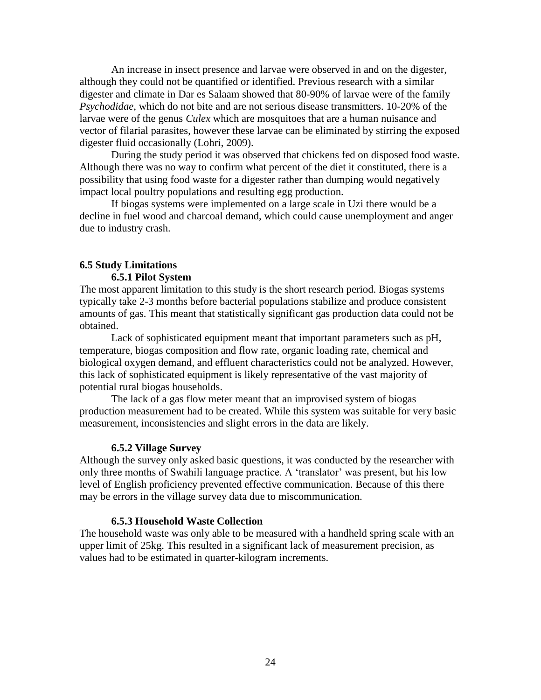An increase in insect presence and larvae were observed in and on the digester, although they could not be quantified or identified. Previous research with a similar digester and climate in Dar es Salaam showed that 80-90% of larvae were of the family *Psychodidae*, which do not bite and are not serious disease transmitters. 10-20% of the larvae were of the genus *Culex* which are mosquitoes that are a human nuisance and vector of filarial parasites, however these larvae can be eliminated by stirring the exposed digester fluid occasionally (Lohri, 2009).

During the study period it was observed that chickens fed on disposed food waste. Although there was no way to confirm what percent of the diet it constituted, there is a possibility that using food waste for a digester rather than dumping would negatively impact local poultry populations and resulting egg production.

If biogas systems were implemented on a large scale in Uzi there would be a decline in fuel wood and charcoal demand, which could cause unemployment and anger due to industry crash.

#### **6.5 Study Limitations 6.5.1 Pilot System**

The most apparent limitation to this study is the short research period. Biogas systems typically take 2-3 months before bacterial populations stabilize and produce consistent amounts of gas. This meant that statistically significant gas production data could not be obtained.

Lack of sophisticated equipment meant that important parameters such as pH, temperature, biogas composition and flow rate, organic loading rate, chemical and biological oxygen demand, and effluent characteristics could not be analyzed. However, this lack of sophisticated equipment is likely representative of the vast majority of potential rural biogas households.

The lack of a gas flow meter meant that an improvised system of biogas production measurement had to be created. While this system was suitable for very basic measurement, inconsistencies and slight errors in the data are likely.

#### **6.5.2 Village Survey**

Although the survey only asked basic questions, it was conducted by the researcher with only three months of Swahili language practice. A "translator" was present, but his low level of English proficiency prevented effective communication. Because of this there may be errors in the village survey data due to miscommunication.

#### **6.5.3 Household Waste Collection**

The household waste was only able to be measured with a handheld spring scale with an upper limit of 25kg. This resulted in a significant lack of measurement precision, as values had to be estimated in quarter-kilogram increments.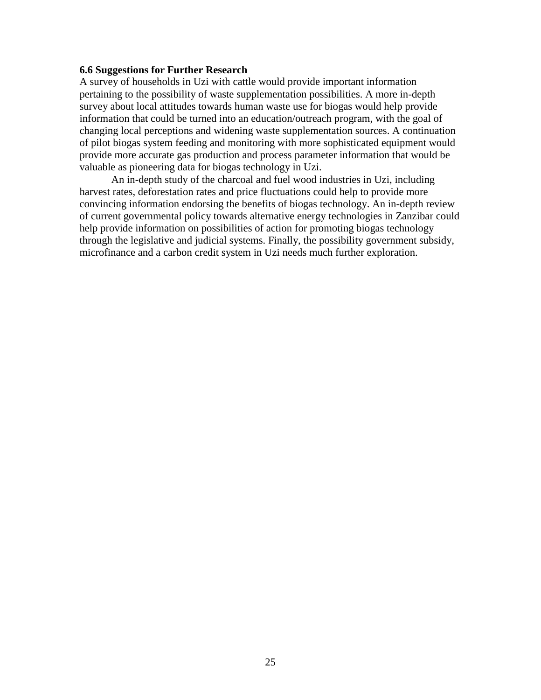#### **6.6 Suggestions for Further Research**

A survey of households in Uzi with cattle would provide important information pertaining to the possibility of waste supplementation possibilities. A more in-depth survey about local attitudes towards human waste use for biogas would help provide information that could be turned into an education/outreach program, with the goal of changing local perceptions and widening waste supplementation sources. A continuation of pilot biogas system feeding and monitoring with more sophisticated equipment would provide more accurate gas production and process parameter information that would be valuable as pioneering data for biogas technology in Uzi.

An in-depth study of the charcoal and fuel wood industries in Uzi, including harvest rates, deforestation rates and price fluctuations could help to provide more convincing information endorsing the benefits of biogas technology. An in-depth review of current governmental policy towards alternative energy technologies in Zanzibar could help provide information on possibilities of action for promoting biogas technology through the legislative and judicial systems. Finally, the possibility government subsidy, microfinance and a carbon credit system in Uzi needs much further exploration.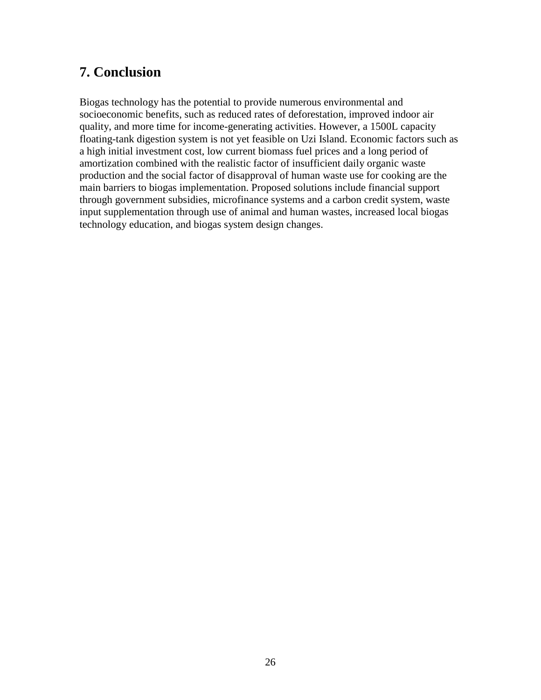# **7. Conclusion**

Biogas technology has the potential to provide numerous environmental and socioeconomic benefits, such as reduced rates of deforestation, improved indoor air quality, and more time for income-generating activities. However, a 1500L capacity floating-tank digestion system is not yet feasible on Uzi Island. Economic factors such as a high initial investment cost, low current biomass fuel prices and a long period of amortization combined with the realistic factor of insufficient daily organic waste production and the social factor of disapproval of human waste use for cooking are the main barriers to biogas implementation. Proposed solutions include financial support through government subsidies, microfinance systems and a carbon credit system, waste input supplementation through use of animal and human wastes, increased local biogas technology education, and biogas system design changes.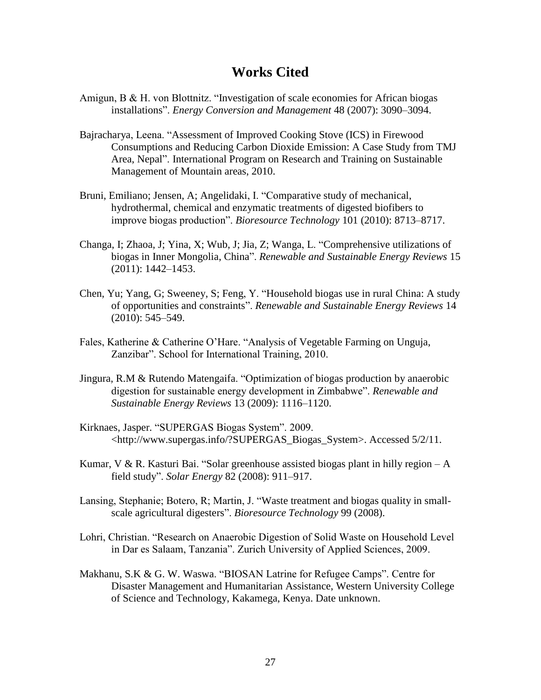# **Works Cited**

- Amigun, B & H. von Blottnitz. "Investigation of scale economies for African biogas installations". *Energy Conversion and Management* 48 (2007): 3090–3094.
- Bajracharya, Leena. "Assessment of Improved Cooking Stove (ICS) in Firewood Consumptions and Reducing Carbon Dioxide Emission: A Case Study from TMJ Area, Nepal". International Program on Research and Training on Sustainable Management of Mountain areas, 2010.
- Bruni, Emiliano; Jensen, A; Angelidaki, I. "Comparative study of mechanical, hydrothermal, chemical and enzymatic treatments of digested biofibers to improve biogas production". *Bioresource Technology* 101 (2010): 8713–8717.
- Changa, I; Zhaoa, J; Yina, X; Wub, J; Jia, Z; Wanga, L. "Comprehensive utilizations of biogas in Inner Mongolia, China". *Renewable and Sustainable Energy Reviews* 15 (2011): 1442–1453.
- Chen, Yu; Yang, G; Sweeney, S; Feng, Y. "Household biogas use in rural China: A study of opportunities and constraints". *Renewable and Sustainable Energy Reviews* 14 (2010): 545–549.
- Fales, Katherine & Catherine O"Hare. "Analysis of Vegetable Farming on Unguja, Zanzibar". School for International Training, 2010.
- Jingura, R.M & Rutendo Matengaifa. "Optimization of biogas production by anaerobic digestion for sustainable energy development in Zimbabwe". *Renewable and Sustainable Energy Reviews* 13 (2009): 1116–1120.
- Kirknaes, Jasper. "SUPERGAS Biogas System". 2009. <http://www.supergas.info/?SUPERGAS\_Biogas\_System>. Accessed 5/2/11.
- Kumar, V & R. Kasturi Bai. "Solar greenhouse assisted biogas plant in hilly region A field study". *Solar Energy* 82 (2008): 911–917.
- Lansing, Stephanie; Botero, R; Martin, J. "Waste treatment and biogas quality in smallscale agricultural digesters". *Bioresource Technology* 99 (2008).
- Lohri, Christian. "Research on Anaerobic Digestion of Solid Waste on Household Level in Dar es Salaam, Tanzania". Zurich University of Applied Sciences, 2009.
- Makhanu, S.K & G. W. Waswa. "BIOSAN Latrine for Refugee Camps". Centre for Disaster Management and Humanitarian Assistance, Western University College of Science and Technology, Kakamega, Kenya. Date unknown.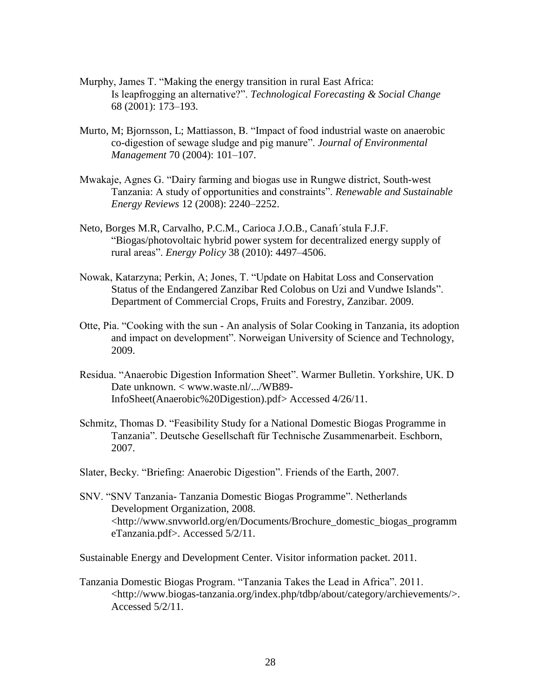- Murphy, James T. "Making the energy transition in rural East Africa: Is leapfrogging an alternative?". *Technological Forecasting & Social Change* 68 (2001): 173–193.
- Murto, M; Bjornsson, L; Mattiasson, B. "Impact of food industrial waste on anaerobic co-digestion of sewage sludge and pig manure". *Journal of Environmental Management* 70 (2004): 101–107.
- Mwakaje, Agnes G. "Dairy farming and biogas use in Rungwe district, South-west Tanzania: A study of opportunities and constraints". *Renewable and Sustainable Energy Reviews* 12 (2008): 2240–2252.
- Neto, Borges M.R, Carvalho, P.C.M., Carioca J.O.B., Canafı´stula F.J.F. "Biogas/photovoltaic hybrid power system for decentralized energy supply of rural areas". *Energy Policy* 38 (2010): 4497–4506.
- Nowak, Katarzyna; Perkin, A; Jones, T. "Update on Habitat Loss and Conservation Status of the Endangered Zanzibar Red Colobus on Uzi and Vundwe Islands". Department of Commercial Crops, Fruits and Forestry, Zanzibar. 2009.
- Otte, Pia. "Cooking with the sun An analysis of Solar Cooking in Tanzania, its adoption and impact on development". Norweigan University of Science and Technology, 2009.
- Residua. "Anaerobic Digestion Information Sheet". Warmer Bulletin. Yorkshire, UK. D Date unknown. < www.waste.nl/.../WB89- InfoSheet(Anaerobic%20Digestion).pdf> Accessed 4/26/11.
- Schmitz, Thomas D. "Feasibility Study for a National Domestic Biogas Programme in Tanzania". Deutsche Gesellschaft für Technische Zusammenarbeit. Eschborn, 2007.
- Slater, Becky. "Briefing: Anaerobic Digestion". Friends of the Earth, 2007.
- SNV. "SNV Tanzania- Tanzania Domestic Biogas Programme". Netherlands Development Organization, 2008. <http://www.snvworld.org/en/Documents/Brochure\_domestic\_biogas\_programm eTanzania.pdf>. Accessed 5/2/11.
- Sustainable Energy and Development Center. Visitor information packet. 2011.
- Tanzania Domestic Biogas Program. "Tanzania Takes the Lead in Africa". 2011. <http://www.biogas-tanzania.org/index.php/tdbp/about/category/archievements/>. Accessed 5/2/11.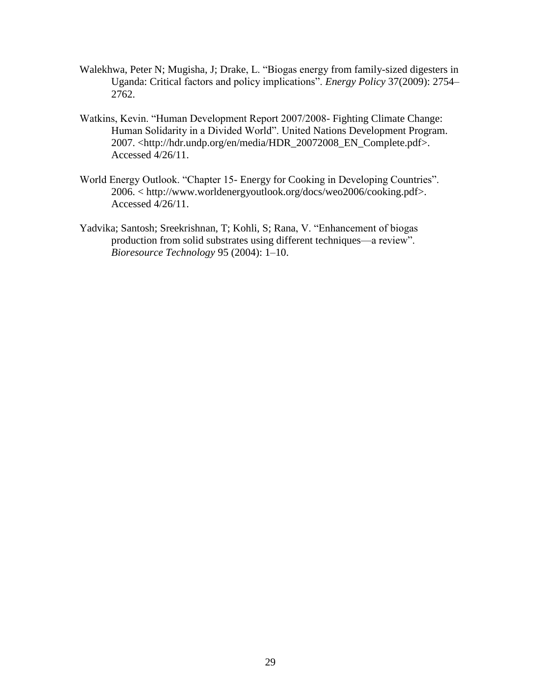- Walekhwa, Peter N; Mugisha, J; Drake, L. "Biogas energy from family-sized digesters in Uganda: Critical factors and policy implications". *Energy Policy* 37(2009): 2754– 2762.
- Watkins, Kevin. "Human Development Report 2007/2008- Fighting Climate Change: Human Solidarity in a Divided World". United Nations Development Program. 2007. <http://hdr.undp.org/en/media/HDR\_20072008\_EN\_Complete.pdf>. Accessed 4/26/11.
- World Energy Outlook. "Chapter 15- Energy for Cooking in Developing Countries". 2006. < http://www.worldenergyoutlook.org/docs/weo2006/cooking.pdf>. Accessed 4/26/11.
- Yadvika; Santosh; Sreekrishnan, T; Kohli, S; Rana, V. "Enhancement of biogas production from solid substrates using different techniques––a review". *Bioresource Technology* 95 (2004): 1–10.